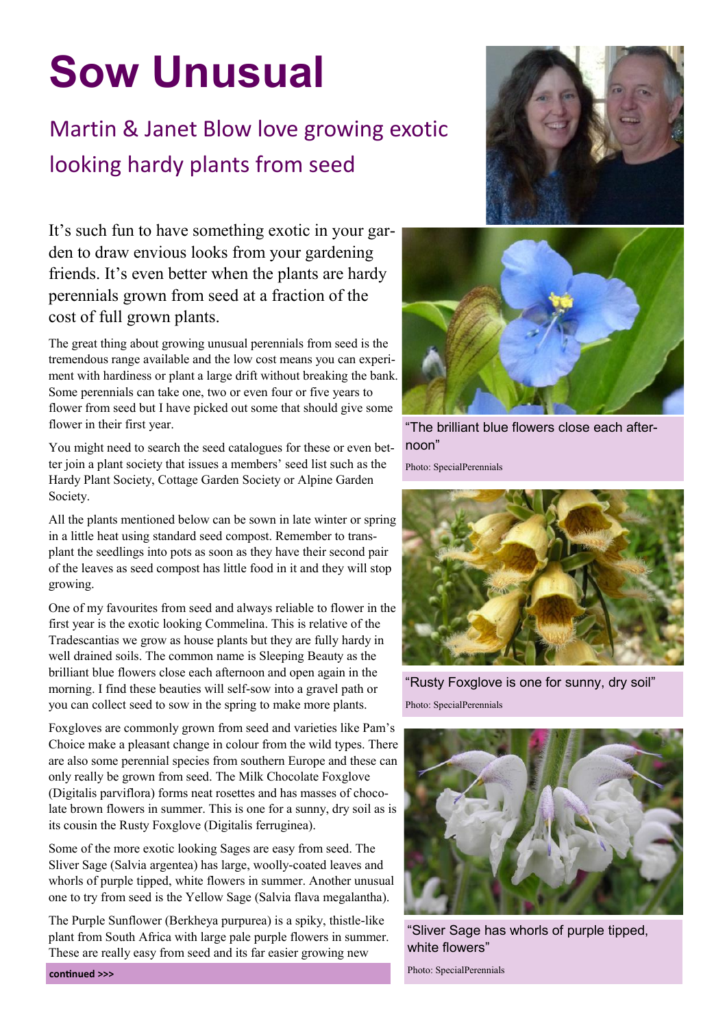## **Sow Unusual**

## Martin & Janet Blow love growing exotic looking hardy plants from seed

It's such fun to have something exotic in your garden to draw envious looks from your gardening friends. It's even better when the plants are hardy perennials grown from seed at a fraction of the cost of full grown plants.

The great thing about growing unusual perennials from seed is the tremendous range available and the low cost means you can experiment with hardiness or plant a large drift without breaking the bank. Some perennials can take one, two or even four or five years to flower from seed but I have picked out some that should give some flower in their first year.

You might need to search the seed catalogues for these or even better join a plant society that issues a members' seed list such as the Hardy Plant Society, Cottage Garden Society or Alpine Garden Society.

All the plants mentioned below can be sown in late winter or spring in a little heat using standard seed compost. Remember to transplant the seedlings into pots as soon as they have their second pair of the leaves as seed compost has little food in it and they will stop growing.

One of my favourites from seed and always reliable to flower in the first year is the exotic looking Commelina. This is relative of the Tradescantias we grow as house plants but they are fully hardy in well drained soils. The common name is Sleeping Beauty as the brilliant blue flowers close each afternoon and open again in the morning. I find these beauties will self-sow into a gravel path or you can collect seed to sow in the spring to make more plants.

Foxgloves are commonly grown from seed and varieties like Pam's Choice make a pleasant change in colour from the wild types. There are also some perennial species from southern Europe and these can only really be grown from seed. The Milk Chocolate Foxglove (Digitalis parviflora) forms neat rosettes and has masses of chocolate brown flowers in summer. This is one for a sunny, dry soil as is its cousin the Rusty Foxglove (Digitalis ferruginea).

Some of the more exotic looking Sages are easy from seed. The Sliver Sage (Salvia argentea) has large, woolly-coated leaves and whorls of purple tipped, white flowers in summer. Another unusual one to try from seed is the Yellow Sage (Salvia flava megalantha).

The Purple Sunflower (Berkheya purpurea) is a spiky, thistle-like plant from South Africa with large pale purple flowers in summer. These are really easy from seed and its far easier growing new





"The brilliant blue flowers close each afternoon"

Photo: SpecialPerennials



"Rusty Foxglove is one for sunny, dry soil" Photo: SpecialPerennials



"Sliver Sage has whorls of purple tipped, white flowers"

Photo: SpecialPerennials **continued >>>**